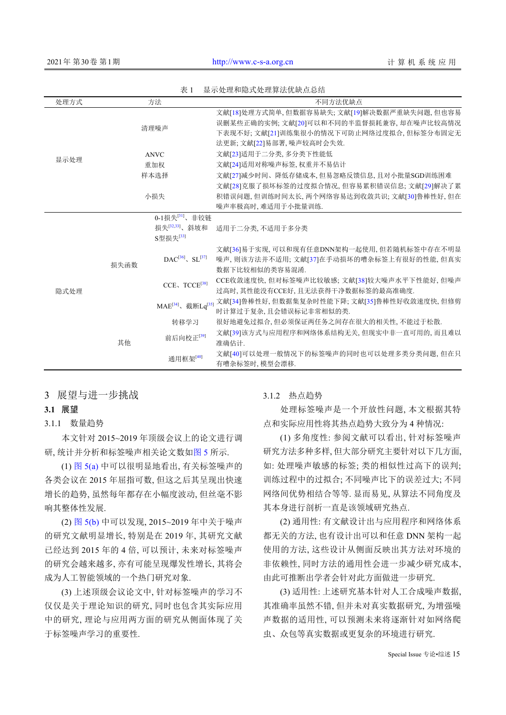| 1X 1<br>亚小丸柱伸酚式丸柱并拉匹叭忌心珀 |                            |                                           |                                                                                                                                                                   |
|--------------------------|----------------------------|-------------------------------------------|-------------------------------------------------------------------------------------------------------------------------------------------------------------------|
| 处理方式                     |                            | 方法                                        | 不同方法优缺点                                                                                                                                                           |
| 显示处理                     | 清理噪声                       |                                           | 文献[18]处理方式简单,但数据容易缺失;文献[19]解决数据严重缺失问题,但也容易<br>误删某些正确的实例; 文献[20]可以和不同的半监督损耗兼容, 却在噪声比较高情况<br>下表现不好; 文献[21]训练集很小的情况下可防止网络过度拟合, 但标签分布固定无<br>法更新; 文献[22]易部署, 噪声较高时会失效. |
|                          | <b>ANVC</b>                |                                           | 文献[23]适用于二分类,多分类下性能低                                                                                                                                              |
|                          | 重加权                        |                                           | 文献[24]适用对称噪声标签, 权重并不易估计                                                                                                                                           |
|                          | 样本选择                       |                                           | 文献[27]减少时间、降低存储成本,但易忽略反馈信息,且对小批量SGD训练困难                                                                                                                           |
|                          | 小损失                        |                                           | 文献[28]克服了损坏标签的过度拟合情况、但容易累积错误信息、文献[29]解决了累<br>积错误问题,但训练时间太长,两个网络容易达到收敛共识;文献[30]鲁棒性好,但在<br>噪声率极高时、难适用于小批量训练.                                                        |
| 隐式处理                     | 0-1损失 <sup>[31]</sup> 、非铰链 |                                           |                                                                                                                                                                   |
|                          | 损失函数                       | 损失[32,33]、斜坡和<br>S型损失 <sup>[33]</sup>     | 适用于二分类, 不适用于多分类                                                                                                                                                   |
|                          |                            | $DAC^{[36]}$ , SL <sup>[37]</sup>         | 文献[36]易于实现, 可以和现有任意DNN架构一起使用, 但若随机标签中存在不明显<br>噪声, 则该方法并不适用; 文献[37]在手动损坏的嘈杂标签上有很好的性能, 但真实<br>数据下比较相似的类容易混淆.                                                        |
|                          |                            | CCE、TCCE <sup>[38]</sup>                  | CCE收敛速度快, 但对标签噪声比较敏感; 文献[38]较大噪声水平下性能好, 但噪声<br>过高时, 其性能没有CCE好, 且无法获得干净数据标签的最高准确度.                                                                                 |
|                          |                            | MAE <sup>[34]</sup> 、截断Lq <sup>[35]</sup> | 文献[34]鲁棒性好, 但数据集复杂时性能下降; 文献[35]鲁棒性好收敛速度快, 但修剪<br>时计算过于复杂,且会错误标记非常相似的类.                                                                                            |
|                          | 其他                         | 转移学习                                      | 很好地避免过拟合,但必须保证两任务之间存在很大的相关性,不能过于松散.                                                                                                                               |
|                          |                            | 前后向校正[39]                                 | 文献[39]该方式与应用程序和网络体系结构无关, 但现实中非一直可用的, 而且难以<br>准确估计.                                                                                                                |
|                          |                            | 通用框架[40]                                  | 文献[40]可以处理一般情况下的标签噪声的同时也可以处理多类分类问题、但在只<br>有嘈杂标签时, 模型会漂移.                                                                                                          |

表 1 显示处理和隐式处理算法优缺点总结

3 展望与进一步挑战

## **3.1** 展望

3.1.1 数量趋势

本文针对 2015~2019 年顶级会议上的论文进行调 研, 统计并分析和标签噪声相关论文数[如图](#page-6-0) [5](#page-6-0) 所示.

(1) [图](#page-6-0) [5\(a\)](#page-6-0) [中](#page-6-0)可以很明显地看出, 有关标签噪声的 各类会议在 2015 年屈指可数, 但这之后其呈现出快速 增长的趋势, 虽然每年都存在小幅度波动, 但丝毫不影 响其整体性发展.

(2) [图](#page-6-0) [5\(b\)](#page-6-0) 中可以发现, 2015~2019 年中关于噪声 的研究文献明显增长, 特别是在 2019 年, 其研究文献 已经达到 2015 年的 4 倍, 可以预计, 未来对标签噪声 的研究会越来越多, 亦有可能呈现爆发性增长, 其将会 成为人工智能领域的一个热门研究对象.

(3) 上述顶级会议论文中, 针对标签噪声的学习不 仅仅是关于理论知识的研究, 同时也包含其实际应用 中的研究, 理论与应用两方面的研究从侧面体现了关 于标签噪声学习的重要性.

3.1.2 热点趋势

处理标签噪声是一个开放性问题, 本文根据其特 点和实际应用性将其热点趋势大致分为 4 种情况:

(1) 多角度性: 参阅文献可以看出, 针对标签噪声 研究方法多种多样, 但大部分研究主要针对以下几方面, 如: 处理噪声敏感的标签; 类的相似性过高下的误判; 训练过程中的过拟合; 不同噪声比下的误差过大; 不同 网络间优势相结合等等. 显而易见, 从算法不同角度及 其本身进行剖析一直是该领域研究热点.

(2) 通用性: 有文献设计出与应用程序和网络体系 都无关的方法, 也有设计出可以和任意 DNN 架构一起 使用的方法, 这些设计从侧面反映出其方法对环境的 非依赖性, 同时方法的通用性会进一步减少研究成本, 由此可推断出学者会针对此方面做进一步研究.

(3) 适用性: 上述研究基本针对人工合成噪声数据, 其准确率虽然不错, 但并未对真实数据研究, 为增强噪 声数据的适用性, 可以预测未来将逐渐针对如网络爬 虫、众包等真实数据或更复杂的环境进行研究.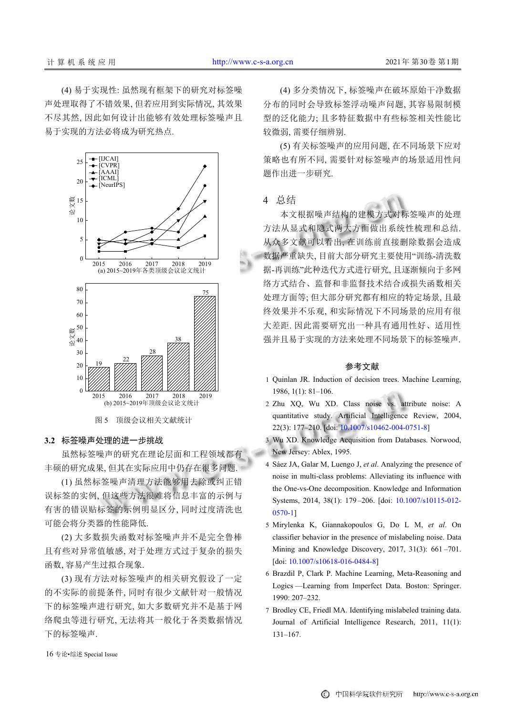(4) 易于实现性: 虽然现有框架下的研究对标签噪 声处理取得了不错效果, 但若应用到实际情况, 其效果 不尽其然, 因此如何设计出能够有效处理标签噪声且 易于实现的方法必将成为研究热点.



## <span id="page-6-0"></span>**3.2** 标签噪声处理的进一步挑战

虽然标签噪声的研究在理论层面和工程领域都有 丰硕的研究成果, 但其在实际应用中仍存在很多问题.

(1) 虽然标签噪声清理方法能够用去除或纠正错 误标签的实例, 但这些方法很难将信息丰富的示例与 有害的错误贴标签的示例明显区分, 同时过度清洗也 可能会将分类器的性能降低.

(2) 大多数损失函数对标签噪声并不是完全鲁棒 且有些对异常值敏感, 对于处理方式过于复杂的损失 函数, 容易产生过拟合现象.

(3) 现有方法对标签噪声的相关研究假设了一定 的不实际的前提条件, 同时有很少文献针对一般情况 下的标签噪声进行研究, 如大多数研究并不是基于网 络爬虫等进行研究, 无法将其一般化于各类数据情况 下的标签噪声.

(4) 多分类情况下, 标签噪声在破坏原始干净数据 分布的同时会导致标签浮动噪声问题, 其容易限制模 型的泛化能力; 且多特征数据中有些标签相关性能比 较微弱, 需要仔细辨别.

(5) 有关标签噪声的应用问题, 在不同场景下应对 策略也有所不同, 需要针对标签噪声的场景适用性问 题作出进一步研究.

## 4 总结

本文根据噪声结构的建模方式对标签噪声的处理 方法从显式和隐式两大方面做出系统性梳理和总结. 从众多文献可以看出, 在训练前直接删除数据会造成 数据严重缺失, 目前大部分研究主要使用"训练-清洗数 据-再训练"此种迭代方式进行研究, 且逐渐倾向于多网 络方式结合、监督和非监督技术结合或损失函数相关 处理方面等; 但大部分研究都有相应的特定场景, 且最 终效果并不乐观, 和实际情况下不同场景的应用有很 大差距. 因此需要研究出一种具有通用性好、适用性 强并且易于实现的方法来处理不同场景下的标签噪声.

## 参考文献

- 1 Quinlan JR. Induction of decision trees. Machine Learning, 1986, 1(1): 81–106.
- 2 Zhu XQ, Wu XD. Class noise vs. attribute noise: A quantitative study. Artificial Intelligence Review, 2004, 22(3): 177–210. [doi: [10.1007/s10462-004-0751-8\]](http://dx.doi.org/10.1007/s10462-004-0751-8)
- 3 Wu XD. Knowledge Acquisition from Databases. Norwood, New Jersey: Ablex, 1995.
- Sáez JA, Galar M, Luengo J, *et al*. Analyzing the presence of 4 noise in multi-class problems: Alleviating its influence with the One-vs-One decomposition. Knowl[edge and Information](http://dx.doi.org/10.1007/s10115-012-0570-1) [System](http://dx.doi.org/10.1007/s10115-012-0570-1)s, 2014, 38(1): 179-206. [doi: [10.1007/s10115-012-](http://dx.doi.org/10.1007/s10115-012-0570-1) [0570-1](http://dx.doi.org/10.1007/s10115-012-0570-1)]
- Mirylenka K, Giannakopoulos G, Do L M, *et al*. On 5 classifier behavior in the presence of mislabeling noise. Data Mining and Knowledge Discovery, 2017, 31(3): 661-701. [doi: [10.1007/s10618-016-0484-8\]](http://dx.doi.org/10.1007/s10618-016-0484-8)
- 6 Brazdil P, Clark P. Machine Learning, Meta-Reasoning and Logics —Learning from Imperfect Data. Boston: Springer. 1990: 207–232.
- Brodley CE, Friedl MA. Identifying mislabeled training data. 7 Journal of Artificial Intelligence Research, 2011, 11(1): 131–167.

16 专论•综述 Special Issue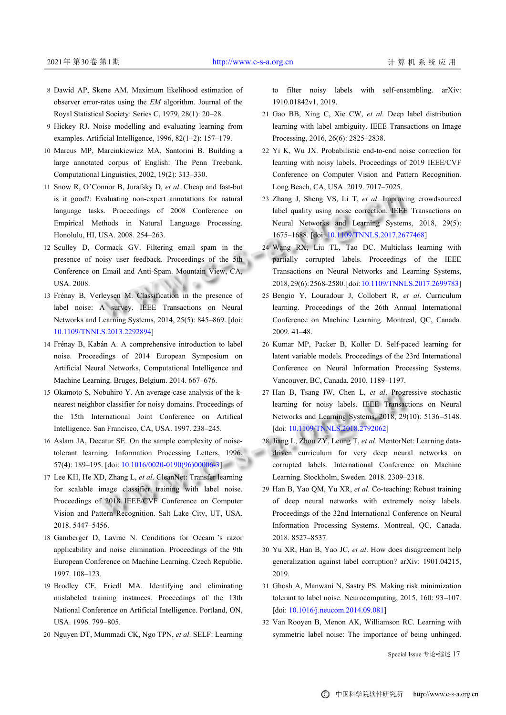ad.

- Dawid AP, Skene AM. Maximum likelihood estimation of 8 observer error-rates using the *EM* algorithm. Journal of the Royal Statistical Society: Series C, 1979, 28(1): 20–28.
- 9 Hickey RJ. Noise modelling and evaluating learning from examples. Artificial Intelligence, 1996, 82(1–2): 157–179.
- 10 Marcus MP, Marcinkiewicz MA, Santorini B. Building a large annotated corpus of English: The Penn Treebank. Computational Linguistics, 2002, 19(2): 313–330.
- 11 Snow R, O'Connor B, Jurafsky D, et al. Cheap and fast-but is it good?: Evaluating non-expert annotations for natural language tasks. Proceedings of 2008 Conference on Empirical Methods in Natural Language Processing. Honolulu, HI, USA. 2008. 254–263.
- 12 Sculley D, Cormack GV. Filtering email spam in the presence of noisy user feedback. Proceedings of the 5th Conference on Email and Anti-Spam. Mountain View, CA, USA. 2008.
- 13 Frénay B, Verleysen M. Classification in the presence of label noise: A survey. IEEE Transactions on Neural Networks and Learning Systems, 2014, 25(5): 845–869. [doi: [10.1109/TNNLS.2013.2292894](http://dx.doi.org/10.1109/TNNLS.2013.2292894)]
- 14 Frénay B, Kabán A. A comprehensive introduction to label noise. Proceedings of 2014 European Symposium on Artificial Neural Networks, Computational Intelligence and Machine Learning. Bruges, Belgium. 2014. 667–676.
- 15 Okamoto S, Nobuhiro Y. An average-case analysis of the knearest neighbor classifier for noisy domains. Proceedings of the 15th International Joint Conference on Artifical Intelligence. San Francisco, CA, USA. 1997. 238–245.
- 16 Aslam JA, Decatur SE. On the sample complexity of noisetolerant learning. I[nformation Processing Letters,](http://dx.doi.org/10.1016/0020-0190(96)00006-3) 1996, 57(4): 189–195. [doi: [10.1016/0020-0190\(96\)00006-3](http://dx.doi.org/10.1016/0020-0190(96)00006-3)]
- 17 Lee KH, He XD, Zhang L, et al. CleanNet: Transfer learning for scalable image classifier training with label noise. Proceedings of 2018 IEEE/CVF Conference on Computer Vision and Pattern Recognition. Salt Lake City, UT, USA. 2018. 5447–5456.
- 18 Gamberger D, Lavrac N. Conditions for Occam 's razor applicability and noise elimination. Proceedings of the 9th European Conference on Machine Learning. Czech Republic. 1997. 108–123.
- <span id="page-7-0"></span>19 Brodley CE, Friedl MA. Identifying and eliminating mislabeled training instances. Proceedings of the 13th National Conference on Artificial Intelligence. Portland, ON, USA. 1996. 799–805.
- <span id="page-7-1"></span>20 Nguyen DT, Mummadi CK, Ngo TPN, *et al*. SELF: Learning

to filter noisy labels with self-ensembling. arXiv:

<span id="page-7-2"></span>1910.01842v1, 2019. 21 Gao BB, Xing C, Xie CW, et al. Deep label distribution learning with label ambiguity. IEEE Transactions on Image

<span id="page-7-3"></span>Processing, 2016, 26(6): 2825–2838.

- 22 Yi K, Wu JX. Probabilistic end-to-end noise correction for learning with noisy labels. Proceedings of 2019 IEEE/CVF Conference on Computer Vision and Pattern Recognition. Long Beach, CA, USA. 2019. 7017–7025.
- <span id="page-7-4"></span>23 Zhang J, Sheng VS, Li T, et al. Improving crowdsourced label quality using noise correction. IEEE Transactions on Neural Networks and Learning Systems, 2018, 29(5): 1675–1688. [doi: [10.1109/TNNLS.2017.2677468\]](http://dx.doi.org/10.1109/TNNLS.2017.2677468)
- <span id="page-7-5"></span>24 Wang RX, Liu TL, Tao DC. Multiclass learning with partially corrupted labels. Proceedings of the IEEE Transactions on Neural Networks and Learning Systems, 2018, 29(6): 2568–2580. [doi: [10.1109/TNNLS.2017.2699783\]](http://dx.doi.org/10.1109/TNNLS.2017.2699783)
- <span id="page-7-6"></span>25 Bengio Y, Louradour J, Collobert R, et al. Curriculum learning. Proceedings of the 26th Annual International Conference on Machine Learning. Montreal, QC, Canada. 2009. 41–48.
- 26 Kumar MP, Packer B, Koller D. Self-paced learning for latent variable models. Proceedings of the 23rd International Conference on Neural Information Processing Systems. Vancouver, BC, Canada. 2010. 1189–1197.
- <span id="page-7-7"></span>27 Han B, Tsang IW, Chen L, et al. Progressive stochastic learning for noisy labels. IEEE Transactions on Neural Networks and Learning Systems, 2018, 29(10): 5136 –5148. [doi: [10.1109/TNNLS.2018.2792062\]](http://dx.doi.org/10.1109/TNNLS.2018.2792062)
- 28 Jiang L, Zhou ZY, Leung T, et al. MentorNet: Learning datadriven curriculum for very deep neural networks on corrupted labels. International Conference on Machine Learning. Stockholm, Sweden. 2018. 2309–2318.
- <span id="page-7-8"></span>29 Han B, Yao QM, Yu XR, et al. Co-teaching: Robust training of deep neural networks with extremely noisy labels. Proceedings of the 32nd International Conference on Neural Information Processing Systems. Montreal, QC, Canada. 2018. 8527–8537.
- <span id="page-7-9"></span>Yu XR, Han B, Yao JC, *et al*. How does disagreement help 30 generalization against label corruption? arXiv: 1901.04215, 2019.
- <span id="page-7-11"></span><span id="page-7-10"></span>Ghosh A, Manwani N, Sastry PS. Making risk minimization 31 toler[ant to label noise. Neurocompu](http://dx.doi.org/10.1016/j.neucom.2014.09.081)ting, 2015, 160: 93–107. [doi: [10.1016/j.neucom.2014.09.081](http://dx.doi.org/10.1016/j.neucom.2014.09.081)]
- 32 Van Rooyen B, Menon AK, Williamson RC. Learning with symmetric label noise: The importance of being unhinged.

Special Issue 专论•综述 17